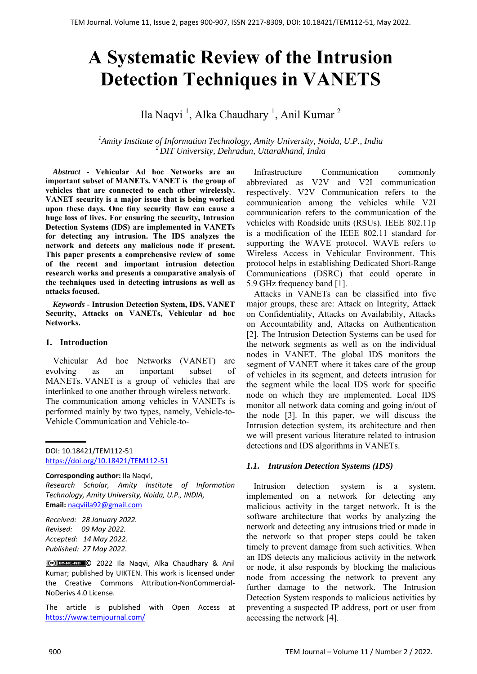# **A Systematic Review of the Intrusion Detection Techniques in VANETS**

Ila Naqvi<sup>1</sup>, Alka Chaudhary<sup>1</sup>, Anil Kumar<sup>2</sup>

*1 Amity Institute of Information Technology, Amity University, Noida, U.P., India <sup>2</sup> DIT University, Dehradun, Uttarakhand, Indıa*

*Abstract* **- Vehicular Ad hoc Networks are an important subset of MANETs. VANET is the group of vehicles that are connected to each other wirelessly. VANET security is a major issue that is being worked upon these days. One tiny security flaw can cause a huge loss of lives. For ensuring the security, Intrusion Detection Systems (IDS) are implemented in VANETs for detecting any intrusion. The IDS analyzes the network and detects any malicious node if present. This paper presents a comprehensive review of some of the recent and important intrusion detection research works and presents a comparative analysis of the techniques used in detecting intrusions as well as attacks focused.** 

*Keywords* - **Intrusion Detection System, IDS, VANET Security, Attacks on VANETs, Vehicular ad hoc Networks.** 

## **1. Introduction**

Vehicular Ad hoc Networks (VANET) are evolving as an important subset of MANETs. VANET is a group of vehicles that are interlinked to one another through wireless network. The communication among vehicles in VANETs is performed mainly by two types, namely, Vehicle-to-Vehicle Communication and Vehicle-to-

**Corresponding author:** Ila Naqvi, *Research Scholar, Amity Institute of Information Technology, Amity University, Noida, U.P., INDIA,*  **Email:** naqviila92@gmail.com

*Received: 28 January 2022. Revised: 09 May 2022. Accepted: 14 May 2022. Published: 27 May 2022.* 

© 2022 Ila Naqvi, Alka Chaudhary & Anil Kumar; published by UIKTEN. This work is licensed under the Creative Commons Attribution‐NonCommercial‐ NoDerivs 4.0 License.

The article is published with Open Access at https://www.temjournal.com/

Infrastructure Communication commonly abbreviated as V2V and V2I communication respectively. V2V Communication refers to the communication among the vehicles while V2I communication refers to the communication of the vehicles with Roadside units (RSUs). IEEE 802.11p is a modification of the IEEE 802.11 standard for supporting the WAVE protocol. WAVE refers to Wireless Access in Vehicular Environment. This protocol helps in establishing Dedicated Short-Range Communications (DSRC) that could operate in 5.9 GHz frequency band [1].

Attacks in VANETs can be classified into five major groups, these are: Attack on Integrity, Attack on Confidentiality, Attacks on Availability, Attacks on Accountability and, Attacks on Authentication [2]. The Intrusion Detection Systems can be used for the network segments as well as on the individual nodes in VANET. The global IDS monitors the segment of VANET where it takes care of the group of vehicles in its segment, and detects intrusion for the segment while the local IDS work for specific node on which they are implemented. Local IDS monitor all network data coming and going in/out of the node [3]. In this paper, we will discuss the Intrusion detection system, its architecture and then we will present various literature related to intrusion detections and IDS algorithms in VANETs.

# *1.1. Intrusion Detection Systems (IDS)*

Intrusion detection system is a system, implemented on a network for detecting any malicious activity in the target network. It is the software architecture that works by analyzing the network and detecting any intrusions tried or made in the network so that proper steps could be taken timely to prevent damage from such activities. When an IDS detects any malicious activity in the network or node, it also responds by blocking the malicious node from accessing the network to prevent any further damage to the network. The Intrusion Detection System responds to malicious activities by preventing a suspected IP address, port or user from accessing the network [4].

DOI: 10.18421/TEM112-51 [https://doi.org/10.18421/TEM112](https://doi.org/10.18421/TEM112-51)-51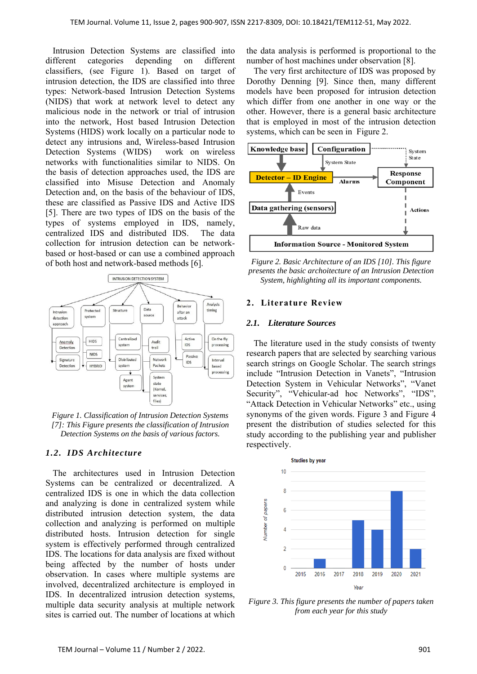Intrusion Detection Systems are classified into different categories depending on different classifiers, (see Figure 1). Based on target of intrusion detection, the IDS are classified into three types: Network-based Intrusion Detection Systems (NIDS) that work at network level to detect any malicious node in the network or trial of intrusion into the network, Host based Intrusion Detection Systems (HIDS) work locally on a particular node to detect any intrusions and, Wireless-based Intrusion Detection Systems (WIDS) work on wireless networks with functionalities similar to NIDS. On the basis of detection approaches used, the IDS are classified into Misuse Detection and Anomaly Detection and, on the basis of the behaviour of IDS, these are classified as Passive IDS and Active IDS [5]. There are two types of IDS on the basis of the types of systems employed in IDS, namely, centralized IDS and distributed IDS. The data collection for intrusion detection can be networkbased or host-based or can use a combined approach of both host and network-based methods [6].



*Figure 1. Classification of Intrusion Detection Systems [7]: This Figure presents the classification of Intrusion Detection Systems on the basis of various factors.* 

# *1.2. IDS Architecture*

The architectures used in Intrusion Detection Systems can be centralized or decentralized. A centralized IDS is one in which the data collection and analyzing is done in centralized system while distributed intrusion detection system, the data collection and analyzing is performed on multiple distributed hosts. Intrusion detection for single system is effectively performed through centralized IDS. The locations for data analysis are fixed without being affected by the number of hosts under observation. In cases where multiple systems are involved, decentralized architecture is employed in IDS. In decentralized intrusion detection systems, multiple data security analysis at multiple network sites is carried out. The number of locations at which the data analysis is performed is proportional to the number of host machines under observation [8].

The very first architecture of IDS was proposed by Dorothy Denning [9]. Since then, many different models have been proposed for intrusion detection which differ from one another in one way or the other. However, there is a general basic architecture that is employed in most of the intrusion detection systems, which can be seen in Figure 2.



*Figure 2. Basic Architecture of an IDS [10]. This figure presents the basic archoitecture of an Intrusion Detection System, highlighting all its important components.* 

#### **2. Literature Review**

#### *2.1. Literature Sources*

The literature used in the study consists of twenty research papers that are selected by searching various search strings on Google Scholar. The search strings include "Intrusion Detection in Vanets", "Intrusion Detection System in Vehicular Networks", "Vanet Security", "Vehicular-ad hoc Networks", "IDS", "Attack Detection in Vehicular Networks" etc., using synonyms of the given words. Figure 3 and Figure 4 present the distribution of studies selected for this study according to the publishing year and publisher respectively.



*Figure 3. This figure presents the number of papers taken from each year for this study*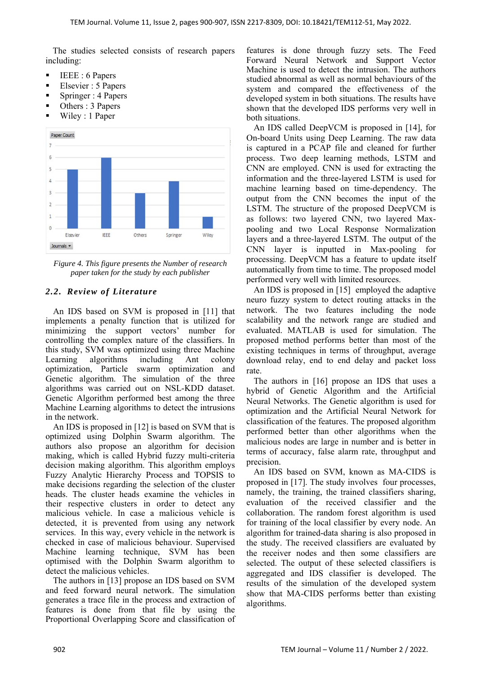The studies selected consists of research papers including:

- $\blacksquare$  IEEE : 6 Papers
- Elsevier : 5 Papers
- Springer : 4 Papers
- Others : 3 Papers
- Wiley : 1 Paper



*Figure 4. This figure presents the Number of research paper taken for the study by each publisher* 

# *2.2. Review of Literature*

An IDS based on SVM is proposed in [11] that implements a penalty function that is utilized for minimizing the support vectors' number for controlling the complex nature of the classifiers. In this study, SVM was optimized using three Machine Learning algorithms including Ant colony optimization, Particle swarm optimization and Genetic algorithm. The simulation of the three algorithms was carried out on NSL-KDD dataset. Genetic Algorithm performed best among the three Machine Learning algorithms to detect the intrusions in the network.

An IDS is proposed in [12] is based on SVM that is optimized using Dolphin Swarm algorithm. The authors also propose an algorithm for decision making, which is called Hybrid fuzzy multi-criteria decision making algorithm. This algorithm employs Fuzzy Analytic Hierarchy Process and TOPSIS to make decisions regarding the selection of the cluster heads. The cluster heads examine the vehicles in their respective clusters in order to detect any malicious vehicle. In case a malicious vehicle is detected, it is prevented from using any network services. In this way, every vehicle in the network is checked in case of malicious behaviour. Supervised Machine learning technique, SVM has been optimised with the Dolphin Swarm algorithm to detect the malicious vehicles.

The authors in [13] propose an IDS based on SVM and feed forward neural network. The simulation generates a trace file in the process and extraction of features is done from that file by using the Proportional Overlapping Score and classification of features is done through fuzzy sets. The Feed Forward Neural Network and Support Vector Machine is used to detect the intrusion. The authors studied abnormal as well as normal behaviours of the system and compared the effectiveness of the developed system in both situations. The results have shown that the developed IDS performs very well in both situations.

An IDS called DeepVCM is proposed in [14], for On-board Units using Deep Learning. The raw data is captured in a PCAP file and cleaned for further process. Two deep learning methods, LSTM and CNN are employed. CNN is used for extracting the information and the three-layered LSTM is used for machine learning based on time-dependency. The output from the CNN becomes the input of the LSTM. The structure of the proposed DeepVCM is as follows: two layered CNN, two layered Maxpooling and two Local Response Normalization layers and a three-layered LSTM. The output of the CNN layer is inputted in Max-pooling for processing. DeepVCM has a feature to update itself automatically from time to time. The proposed model performed very well with limited resources.

An IDS is proposed in [15] employed the adaptive neuro fuzzy system to detect routing attacks in the network. The two features including the node scalability and the network range are studied and evaluated. MATLAB is used for simulation. The proposed method performs better than most of the existing techniques in terms of throughput, average download relay, end to end delay and packet loss rate.

The authors in [16] propose an IDS that uses a hybrid of Genetic Algorithm and the Artificial Neural Networks. The Genetic algorithm is used for optimization and the Artificial Neural Network for classification of the features. The proposed algorithm performed better than other algorithms when the malicious nodes are large in number and is better in terms of accuracy, false alarm rate, throughput and precision.

An IDS based on SVM, known as MA-CIDS is proposed in [17]. The study involves four processes, namely, the training, the trained classifiers sharing, evaluation of the received classifier and the collaboration. The random forest algorithm is used for training of the local classifier by every node. An algorithm for trained-data sharing is also proposed in the study. The received classifiers are evaluated by the receiver nodes and then some classifiers are selected. The output of these selected classifiers is aggregated and IDS classifier is developed. The results of the simulation of the developed system show that MA-CIDS performs better than existing algorithms.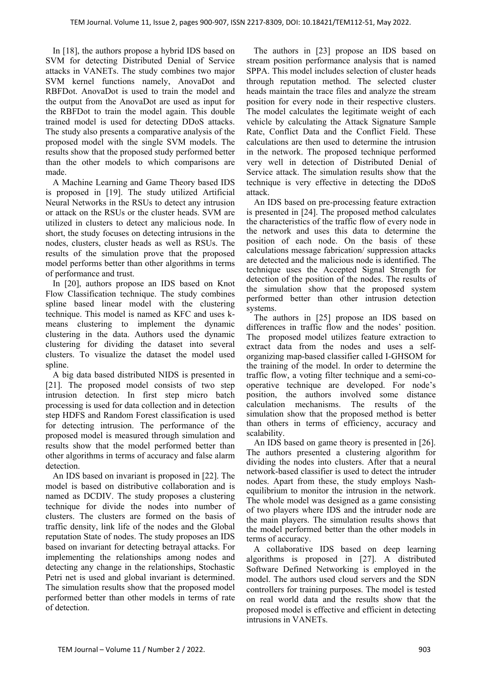In [18], the authors propose a hybrid IDS based on SVM for detecting Distributed Denial of Service attacks in VANETs. The study combines two major SVM kernel functions namely, AnovaDot and RBFDot. AnovaDot is used to train the model and the output from the AnovaDot are used as input for the RBFDot to train the model again. This double trained model is used for detecting DDoS attacks. The study also presents a comparative analysis of the proposed model with the single SVM models. The results show that the proposed study performed better than the other models to which comparisons are made.

A Machine Learning and Game Theory based IDS is proposed in [19]. The study utilized Artificial Neural Networks in the RSUs to detect any intrusion or attack on the RSUs or the cluster heads. SVM are utilized in clusters to detect any malicious node. In short, the study focuses on detecting intrusions in the nodes, clusters, cluster heads as well as RSUs. The results of the simulation prove that the proposed model performs better than other algorithms in terms of performance and trust.

In [20], authors propose an IDS based on Knot Flow Classification technique. The study combines spline based linear model with the clustering technique. This model is named as KFC and uses kmeans clustering to implement the dynamic clustering in the data. Authors used the dynamic clustering for dividing the dataset into several clusters. To visualize the dataset the model used spline.

A big data based distributed NIDS is presented in [21]. The proposed model consists of two step intrusion detection. In first step micro batch processing is used for data collection and in detection step HDFS and Random Forest classification is used for detecting intrusion. The performance of the proposed model is measured through simulation and results show that the model performed better than other algorithms in terms of accuracy and false alarm detection.

An IDS based on invariant is proposed in [22]. The model is based on distributive collaboration and is named as DCDIV. The study proposes a clustering technique for divide the nodes into number of clusters. The clusters are formed on the basis of traffic density, link life of the nodes and the Global reputation State of nodes. The study proposes an IDS based on invariant for detecting betrayal attacks. For implementing the relationships among nodes and detecting any change in the relationships, Stochastic Petri net is used and global invariant is determined. The simulation results show that the proposed model performed better than other models in terms of rate of detection.

The authors in [23] propose an IDS based on stream position performance analysis that is named SPPA. This model includes selection of cluster heads through reputation method. The selected cluster heads maintain the trace files and analyze the stream position for every node in their respective clusters. The model calculates the legitimate weight of each vehicle by calculating the Attack Signature Sample Rate, Conflict Data and the Conflict Field. These calculations are then used to determine the intrusion in the network. The proposed technique performed very well in detection of Distributed Denial of Service attack. The simulation results show that the technique is very effective in detecting the DDoS attack.

An IDS based on pre-processing feature extraction is presented in [24]. The proposed method calculates the characteristics of the traffic flow of every node in the network and uses this data to determine the position of each node. On the basis of these calculations message fabrication/ suppression attacks are detected and the malicious node is identified. The technique uses the Accepted Signal Strength for detection of the position of the nodes. The results of the simulation show that the proposed system performed better than other intrusion detection systems.

The authors in [25] propose an IDS based on differences in traffic flow and the nodes' position. The proposed model utilizes feature extraction to extract data from the nodes and uses a selforganizing map-based classifier called I-GHSOM for the training of the model. In order to determine the traffic flow, a voting filter technique and a semi-cooperative technique are developed. For node's position, the authors involved some distance calculation mechanisms. The results of the simulation show that the proposed method is better than others in terms of efficiency, accuracy and scalability.

An IDS based on game theory is presented in [26]. The authors presented a clustering algorithm for dividing the nodes into clusters. After that a neural network-based classifier is used to detect the intruder nodes. Apart from these, the study employs Nashequilibrium to monitor the intrusion in the network. The whole model was designed as a game consisting of two players where IDS and the intruder node are the main players. The simulation results shows that the model performed better than the other models in terms of accuracy.

A collaborative IDS based on deep learning algorithms is proposed in [27]. A distributed Software Defined Networking is employed in the model. The authors used cloud servers and the SDN controllers for training purposes. The model is tested on real world data and the results show that the proposed model is effective and efficient in detecting intrusions in VANETs.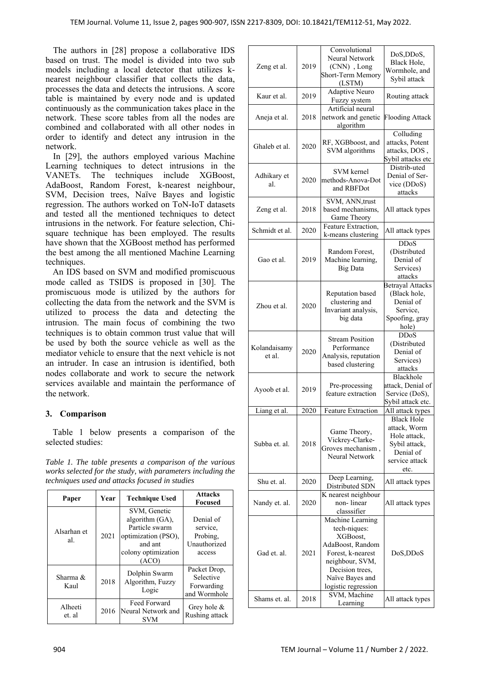The authors in [28] propose a collaborative IDS based on trust. The model is divided into two sub models including a local detector that utilizes knearest neighbour classifier that collects the data, processes the data and detects the intrusions. A score table is maintained by every node and is updated continuously as the communication takes place in the network. These score tables from all the nodes are combined and collaborated with all other nodes in order to identify and detect any intrusion in the network.

In [29], the authors employed various Machine Learning techniques to detect intrusions in the VANETs. The techniques include XGBoost, AdaBoost, Random Forest, k-nearest neighbour, SVM, Decision trees, Naïve Bayes and logistic regression. The authors worked on ToN-IoT datasets and tested all the mentioned techniques to detect intrusions in the network. For feature selection, Chisquare technique has been employed. The results have shown that the XGBoost method has performed the best among the all mentioned Machine Learning techniques.

An IDS based on SVM and modified promiscuous mode called as TSIDS is proposed in [30]. The promiscuous mode is utilized by the authors for collecting the data from the network and the SVM is utilized to process the data and detecting the intrusion. The main focus of combining the two techniques is to obtain common trust value that will be used by both the source vehicle as well as the mediator vehicle to ensure that the next vehicle is not an intruder. In case an intrusion is identified, both nodes collaborate and work to secure the network services available and maintain the performance of the network.

# **3. Comparison**

Table 1 below presents a comparison of the selected studies:

*Table 1. The table presents a comparison of the various works selected for the study, with parameters including the techniques used and attacks focused in studies* 

| Paper              | Year | <b>Technique Used</b>                                                                                               | <b>Attacks</b><br>Focused                                   |
|--------------------|------|---------------------------------------------------------------------------------------------------------------------|-------------------------------------------------------------|
| Alsarhan et<br>al. | 2021 | SVM, Genetic<br>algorithm (GA),<br>Particle swarm<br>optimization (PSO),<br>and ant<br>colony optimization<br>(ACO) | Denial of<br>service,<br>Probing,<br>Unauthorized<br>access |
| Sharma &<br>Kaul   | 2018 | Dolphin Swarm<br>Algorithm, Fuzzy<br>Logic                                                                          | Packet Drop,<br>Selective<br>Forwarding<br>and Wormhole     |
| Alheeti<br>et. al  | 2016 | Feed Forward<br>Neural Network and<br><b>SVM</b>                                                                    | Grey hole $\&$<br>Rushing attack                            |

| Zeng et al.                  | 2019         | Convolutional<br>Neural Network<br>(CNN), Long<br>Short-Term Memory<br>(LSTM)                                                                                                                     | DoS, DDoS,<br>Black Hole,<br>Wormhole, and<br>Sybil attack                                                |
|------------------------------|--------------|---------------------------------------------------------------------------------------------------------------------------------------------------------------------------------------------------|-----------------------------------------------------------------------------------------------------------|
| Kaur et al.                  | 2019         | Adaptive Neuro<br>Fuzzy system                                                                                                                                                                    | Routing attack                                                                                            |
| Aneja et al.                 | 2018         | Artificial neural<br>network and genetic<br>algorithm                                                                                                                                             | <b>Flooding Attack</b>                                                                                    |
| Ghaleb et al.                | 2020         | RF, XGBboost, and<br>SVM algorithms                                                                                                                                                               | Colluding<br>attacks, Potent<br>attacks, DOS,<br>Sybil attacks etc                                        |
| Adhikary et<br>al.           | 2020         | SVM kernel<br>methods-Anova-Dot<br>and RBFDot                                                                                                                                                     | Distrib-uted<br>Denial of Ser-<br>vice (DDoS)<br>attacks                                                  |
| Zeng et al.                  | 2018         | SVM, ANN, trust<br>based mechanisms,<br>Game Theory                                                                                                                                               | All attack types                                                                                          |
| Schmidt et al.               | 2020         | Feature Extraction,<br>k-means clustering                                                                                                                                                         | All attack types                                                                                          |
| Gao et al.                   | 2019         | Random Forest,<br>Machine learning,<br><b>Big Data</b>                                                                                                                                            | <b>DDoS</b><br>(Distributed<br>Denial of<br>Services)<br>attacks                                          |
| Zhou et al.                  | 2020         | Reputation based<br>clustering and<br>Invariant analysis,<br>big data                                                                                                                             | <b>Betrayal Attacks</b><br>(Black hole,<br>Denial of<br>Service,<br>Spoofing, gray<br>hole)               |
| Kolandaisamy<br>et al.       | 2020         | <b>Stream Position</b><br>Performance<br>Analysis, reputation<br>based clustering                                                                                                                 | <b>DDoS</b><br>(Distributed<br>Denial of<br>Services)<br>attacks                                          |
|                              |              |                                                                                                                                                                                                   | Blackhole                                                                                                 |
| Ayoob et al.                 | 2019         | Pre-processing<br>feature extraction                                                                                                                                                              | attack, Denial of<br>Service (DoS),<br>Sybil attack etc.                                                  |
| Liang et al.                 | 2020         | Feature Extraction                                                                                                                                                                                | All attack types                                                                                          |
| Subba et. al.                | 2018         | Game Theory,<br>Vickrey-Clarke-<br>Groves mechanism,<br>Neural Network                                                                                                                            | <b>Black Hole</b><br>attack, Worm<br>Hole attack,<br>Sybil attack,<br>Denial of<br>service attack<br>etc. |
| Shu et. al.                  | 2020         | Deep Learning,<br>Distributed SDN                                                                                                                                                                 | All attack types                                                                                          |
| Nandy et. al.                | 2020         | K nearest neighbour<br>non-linear<br>classsifier                                                                                                                                                  | All attack types                                                                                          |
| Gad et. al.<br>Shams et. al. | 2021<br>2018 | Machine Learning<br>tech-niques:<br>XGBoost,<br>AdaBoost, Random<br>Forest, k-nearest<br>neighbour, SVM,<br>Decision trees,<br>Naïve Bayes and<br>logistic regression<br>SVM, Machine<br>Learning | DoS,DDoS<br>All attack types                                                                              |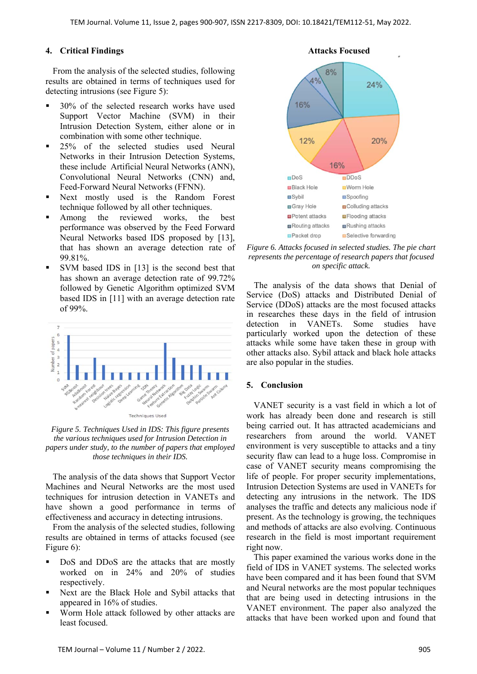# **4. Critical Findings**

From the analysis of the selected studies, following results are obtained in terms of techniques used for detecting intrusions (see Figure 5):

- 30% of the selected research works have used Support Vector Machine (SVM) in their Intrusion Detection System, either alone or in combination with some other technique.
- 25% of the selected studies used Neural Networks in their Intrusion Detection Systems, these include Artificial Neural Networks (ANN), Convolutional Neural Networks (CNN) and, Feed-Forward Neural Networks (FFNN).
- Next mostly used is the Random Forest technique followed by all other techniques.
- Among the reviewed works, the best performance was observed by the Feed Forward Neural Networks based IDS proposed by [13], that has shown an average detection rate of 99.81%.
- SVM based IDS in [13] is the second best that has shown an average detection rate of 99.72% followed by Genetic Algorithm optimized SVM based IDS in [11] with an average detection rate of 99%.



*Figure 5. Techniques Used in IDS: This figure presents the various techniques used for Intrusion Detection in papers under study, to the number of papers that employed those techniques in their IDS.* 

The analysis of the data shows that Support Vector Machines and Neural Networks are the most used techniques for intrusion detection in VANETs and have shown a good performance in terms of effectiveness and accuracy in detecting intrusions.

From the analysis of the selected studies, following results are obtained in terms of attacks focused (see Figure 6):

- DoS and DDoS are the attacks that are mostly worked on in 24% and 20% of studies respectively.
- Next are the Black Hole and Sybil attacks that appeared in 16% of studies.
- Worm Hole attack followed by other attacks are least focused.



*Figure 6. Attacks focused in selected studies. The pie chart represents the percentage of research papers that focused on specific attack.* 

The analysis of the data shows that Denial of Service (DoS) attacks and Distributed Denial of Service (DDoS) attacks are the most focused attacks in researches these days in the field of intrusion detection in VANETs. Some studies have particularly worked upon the detection of these attacks while some have taken these in group with other attacks also. Sybil attack and black hole attacks are also popular in the studies.

## **5. Conclusion**

VANET security is a vast field in which a lot of work has already been done and research is still being carried out. It has attracted academicians and researchers from around the world. VANET environment is very susceptible to attacks and a tiny security flaw can lead to a huge loss. Compromise in case of VANET security means compromising the life of people. For proper security implementations, Intrusion Detection Systems are used in VANETs for detecting any intrusions in the network. The IDS analyses the traffic and detects any malicious node if present. As the technology is growing, the techniques and methods of attacks are also evolving. Continuous research in the field is most important requirement right now.

This paper examined the various works done in the field of IDS in VANET systems. The selected works have been compared and it has been found that SVM and Neural networks are the most popular techniques that are being used in detecting intrusions in the VANET environment. The paper also analyzed the attacks that have been worked upon and found that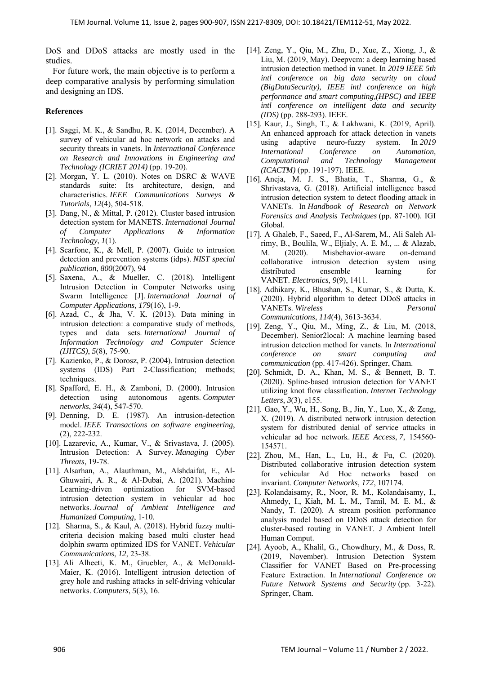DoS and DDoS attacks are mostly used in the studies.

For future work, the main objective is to perform a deep comparative analysis by performing simulation and designing an IDS.

#### **References**

- [1]. Saggi, M. K., & Sandhu, R. K. (2014, December). A survey of vehicular ad hoc network on attacks and security threats in vanets. In *International Conference on Research and Innovations in Engineering and Technology (ICRIET 2014)* (pp. 19-20).
- [2]. Morgan, Y. L. (2010). Notes on DSRC & WAVE standards suite: Its architecture, design, and characteristics. *IEEE Communications Surveys & Tutorials*, *12*(4), 504-518.
- [3]. Dang, N., & Mittal, P. (2012). Cluster based intrusion detection system for MANETS. *International Journal of Computer Applications & Information Technology*, *1*(1).
- [4]. Scarfone, K., & Mell, P. (2007). Guide to intrusion detection and prevention systems (idps). *NIST special publication*, *800*(2007), 94
- [5]. Saxena, A., & Mueller, C. (2018). Intelligent Intrusion Detection in Computer Networks using Swarm Intelligence [J]. *International Journal of Computer Applications*, *179*(16), 1-9.
- [6]. Azad, C., & Jha, V. K. (2013). Data mining in intrusion detection: a comparative study of methods, types and data sets. *International Journal of Information Technology and Computer Science (IJITCS)*, *5*(8), 75-90.
- [7]. Kazienko, P., & Dorosz, P. (2004). Intrusion detection systems (IDS) Part 2-Classification; methods; techniques.
- [8]. Spafford, E. H., & Zamboni, D. (2000). Intrusion detection using autonomous agents. *Computer networks*, *34*(4), 547-570.
- [9]. Denning, D. E. (1987). An intrusion-detection model. *IEEE Transactions on software engineering*, (2), 222-232.
- [10]. Lazarevic, A., Kumar, V., & Srivastava, J. (2005). Intrusion Detection: A Survey. *Managing Cyber Threats*, 19-78.
- [11]. Alsarhan, A., Alauthman, M., Alshdaifat, E., Al-Ghuwairi, A. R., & Al-Dubai, A. (2021). Machine Learning-driven optimization for SVM-based intrusion detection system in vehicular ad hoc networks. *Journal of Ambient Intelligence and Humanized Computing*, 1-10.
- [12]. Sharma, S., & Kaul, A. (2018). Hybrid fuzzy multicriteria decision making based multi cluster head dolphin swarm optimized IDS for VANET. *Vehicular Communications*, *12*, 23-38.
- [13]. Ali Alheeti, K. M., Gruebler, A., & McDonald-Maier, K. (2016). Intelligent intrusion detection of grey hole and rushing attacks in self-driving vehicular networks. *Computers*, *5*(3), 16.
- [14]. Zeng, Y., Qiu, M., Zhu, D., Xue, Z., Xiong, J., & Liu, M. (2019, May). Deepvcm: a deep learning based intrusion detection method in vanet. In *2019 IEEE 5th intl conference on big data security on cloud (BigDataSecurity), IEEE intl conference on high performance and smart computing,(HPSC) and IEEE intl conference on intelligent data and security (IDS)* (pp. 288-293). IEEE.
- [15]. Kaur, J., Singh, T., & Lakhwani, K. (2019, April). An enhanced approach for attack detection in vanets using adaptive neuro-fuzzy system. In *2019 International Conference on Automation, Computational and Technology Management (ICACTM)* (pp. 191-197). IEEE.
- [16]. Aneja, M. J. S., Bhatia, T., Sharma, G., & Shrivastava, G. (2018). Artificial intelligence based intrusion detection system to detect flooding attack in VANETs. In *Handbook of Research on Network Forensics and Analysis Techniques* (pp. 87-100). IGI Global.
- [17]. A Ghaleb, F., Saeed, F., Al-Sarem, M., Ali Saleh Alrimy, B., Boulila, W., Eljialy, A. E. M., ... & Alazab, M. (2020). Misbehavior-aware on-demand collaborative intrusion detection system using distributed ensemble learning for VANET. *Electronics*, *9*(9), 1411.
- [18]. Adhikary, K., Bhushan, S., Kumar, S., & Dutta, K. (2020). Hybrid algorithm to detect DDoS attacks in VANETs. *Wireless Personal Communications*, *114*(4), 3613-3634.
- [19]. Zeng, Y., Qiu, M., Ming, Z., & Liu, M. (2018, December). Senior2local: A machine learning based intrusion detection method for vanets. In *International conference on smart computing and communication* (pp. 417-426). Springer, Cham.
- [20]. Schmidt, D. A., Khan, M. S., & Bennett, B. T. (2020). Spline‐based intrusion detection for VANET utilizing knot flow classification. *Internet Technology Letters*, *3*(3), e155.
- [21]. Gao, Y., Wu, H., Song, B., Jin, Y., Luo, X., & Zeng, X. (2019). A distributed network intrusion detection system for distributed denial of service attacks in vehicular ad hoc network. *IEEE Access*, *7*, 154560- 154571.
- [22]. Zhou, M., Han, L., Lu, H., & Fu, C. (2020). Distributed collaborative intrusion detection system for vehicular Ad Hoc networks based on invariant. *Computer Networks*, *172*, 107174.
- [23]. Kolandaisamy, R., Noor, R. M., Kolandaisamy, I., Ahmedy, I., Kiah, M. L. M., Tamil, M. E. M., & Nandy, T. (2020). A stream position performance analysis model based on DDoS attack detection for cluster-based routing in VANET. J Ambient Intell Human Comput.
- [24]. Ayoob, A., Khalil, G., Chowdhury, M., & Doss, R. (2019, November). Intrusion Detection System Classifier for VANET Based on Pre-processing Feature Extraction. In *International Conference on Future Network Systems and Security* (pp. 3-22). Springer, Cham.